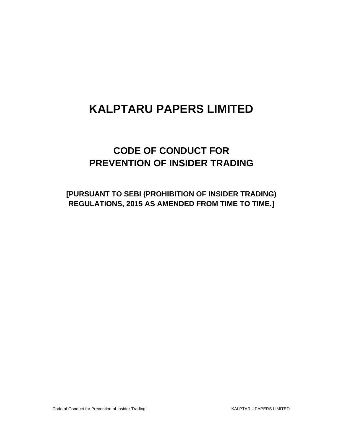## **CODE OF CONDUCT FOR PREVENTION OF INSIDER TRADING**

**[PURSUANT TO SEBI (PROHIBITION OF INSIDER TRADING) REGULATIONS, 2015 AS AMENDED FROM TIME TO TIME.]**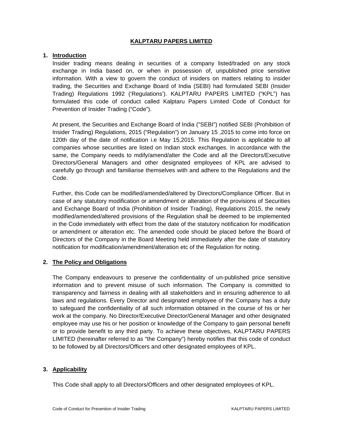## **1. Introduction**

Insider trading means dealing in securities of a company listed/traded on any stock exchange in India based on, or when in possession of, unpublished price sensitive information. With a view to govern the conduct of insiders on matters relating to insider trading, the Securities and Exchange Board of India (SEBI) had formulated SEBI (Insider Trading) Regulations 1992 ('Regulations'). KALPTARU PAPERS LIMITED ("KPL") has formulated this code of conduct called Kalptaru Papers Limited Code of Conduct for Prevention of Insider Trading ("Code").

At present, the Securities and Exchange Board of India ("SEBI") notified SEBI (Prohibition of Insider Trading) Regulations, 2015 ("Regulation") on January 15 ,2015 to come into force on 120th day of the date of notification i.e May 15,2015. This Regulation is applicable to all companies whose securities are listed on Indian stock exchanges. In accordance with the same, the Company needs to mdify/amend/alter the Code and all the Directors/Executive Directors/General Managers and other designated employees of KPL are advised to carefully go through and familiarise themselves with and adhere to the Regulations and the Code.

Further, this Code can be modified/amended/altered by Directors/Compliance Officer. But in case of any statutory modification or amendment or alteration of the provisions of Securities and Exchange Board of India (Prohibition of Insider Trading), Regulations 2015, the newly modified/amended/altered provisions of the Regulation shall be deemed to be implemented in the Code immediately with effect from the date of the statutory notification for modification or amendment or alteration etc. The amended code should be placed before the Board of Directors of the Company in the Board Meeting held immediately after the date of statutory notification for modification/amendment/alteration etc of the Regulation for noting.

#### **2. The Policy and Obligations**

The Company endeavours to preserve the confidentiality of un-published price sensitive information and to prevent misuse of such information. The Company is committed to transparency and fairness in dealing with all stakeholders and in ensuring adherence to all laws and regulations. Every Director and designated employee of the Company has a duty to safeguard the confidentiality of all such information obtained in the course of his or her work at the company. No Director/Executive Director/General Manager and other designated employee may use his or her position or knowledge of the Company to gain personal benefit or to provide benefit to any third party. To achieve these objectives, KALPTARU PAPERS LIMITED (hereinafter referred to as "the Company") hereby notifies that this code of conduct to be followed by all Directors/Officers and other designated employees of KPL.

## **3. Applicability**

This Code shall apply to all Directors/Officers and other designated employees of KPL.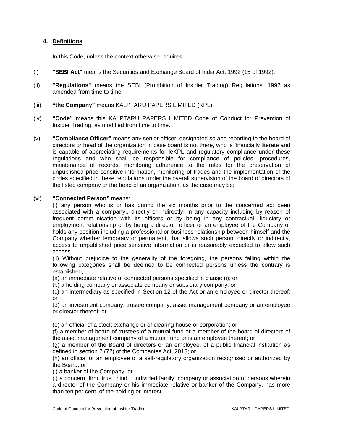## **4. Definitions**

In this Code, unless the context otherwise requires:

- (i) **"SEBI Act"** means the Securities and Exchange Board of India Act, 1992 (15 of 1992).
- (ii) **"Regulations"** means the SEBI (Prohibition of Insider Trading) Regulations, 1992 as amended from time to time.
- (iii) **"the Company"** means KALPTARU PAPERS LIMITED (KPL).
- (iv) **"Code"** means this KALPTARU PAPERS LIMITED Code of Conduct for Prevention of Insider Trading, as modified from time to time.
- (v) **"Compliance Officer"** means any senior officer, designated so and reporting to the board of directors or head of the organization in case board is not there, who is financially literate and is capable of appreciating requirements for leKPL and regulatory compliance under these regulations and who shall be responsible for compliance of policies, procedures, maintenance of records, monitoring adherence to the rules for the preservation of unpublished price sensitive information, monitoring of trades and the implementation of the codes specified in these regulations under the overall supervision of the board of directors of the listed company or the head of an organization, as the case may be;

## (vi) **"Connected Person"** means:

(i) any person who is or has during the six months prior to the concerned act been associated with a company,, directly or indirectly, in any capacity including by reason of frequent communication with its officers or by being in any contractual, fiduciary or employment relationship or by being a director, officer or an employee of the Company or holds any position including a professional or business relationship between himself and the Company whether temporary or permanent, that allows such person, directly or indirectly, access to unpublished price sensitive information or is reasonably expected to allow such access.

(ii) Without prejudice to the generality of the foregoing, the persons falling within the following categories shall be deemed to be connected persons unless the contrary is established,

(a) an immediate relative of connected persons specified in clause (i); or

(b) a holding company or associate company or subsidiary company; or

(c) an intermediary as specified in Section 12 of the Act or an employee or director thereof; or

(d) an investment company, trustee company, asset management company or an employee or director thereof; or

(e) an official of a stock exchange or of clearing house or corporation; or

(f) a member of board of trustees of a mutual fund or a member of the board of directors of the asset management company of a mutual fund or is an employee thereof; or

(g) a member of the Board of directors or an employee, of a public financial institution as defined in section 2 (72) of the Companies Act, 2013; or

(h) an official or an employee of a self-regulatory organization recognised or authorized by the Board; or

(i) a banker of the Company; or

(j) a concern, firm, trust, hindu undivided family, company or association of persons wherein a director of the Company or his immediate relative or banker of the Company, has more than ten per cent, of the holding or interest.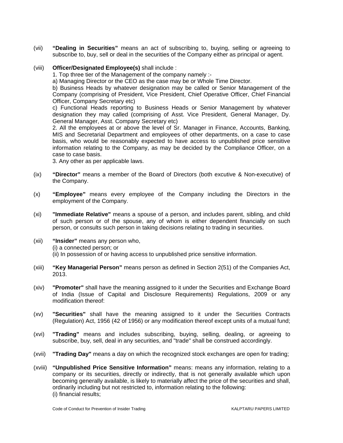- (vii) **"Dealing in Securities"** means an act of subscribing to, buying, selling or agreeing to subscribe to, buy, sell or deal in the securities of the Company either as principal or agent.
- (viii) **Officer/Designated Employee(s)** shall include :

1. Top three tier of the Management of the company namely :-

a) Managing Director or the CEO as the case may be or Whole Time Director.

b) Business Heads by whatever designation may be called or Senior Management of the Company (comprising of President, Vice President, Chief Operative Officer, Chief Financial Officer, Company Secretary etc)

c) Functional Heads reporting to Business Heads or Senior Management by whatever designation they may called (comprising of Asst. Vice President, General Manager, Dy. General Manager, Asst. Company Secretary etc)

2. All the employees at or above the level of Sr. Manager in Finance, Accounts, Banking, MIS and Secretarial Department and employees of other departments, on a case to case basis, who would be reasonably expected to have access to unpublished price sensitive information relating to the Company, as may be decided by the Compliance Officer, on a case to case basis.

3. Any other as per applicable laws.

- (ix) **"Director"** means a member of the Board of Directors (both excutive & Non-executive) of the Company.
- (x) **"Employee"** means every employee of the Company including the Directors in the employment of the Company.
- (xi) **"Immediate Relative"** means a spouse of a person, and includes parent, sibling, and child of such person or of the spouse, any of whom is either dependent financially on such person, or consults such person in taking decisions relating to trading in securities.
- (xii) **"Insider"** means any person who, (i) a connected person; or (ii) In possession of or having access to unpublished price sensitive information.
- (xiii) **"Key Managerial Person"** means person as defined in Section 2(51) of the Companies Act, 2013.
- (xiv) **"Promoter"** shall have the meaning assigned to it under the Securities and Exchange Board of India (Issue of Capital and Disclosure Requirements) Regulations, 2009 or any modification thereof:
- (xv) **"Securities"** shall have the meaning assigned to it under the Securities Contracts (Regulation) Act, 1956 (42 of 1956) or any modification thereof except units of a mutual fund;
- (xvi) **"Trading"** means and includes subscribing, buying, selling, dealing, or agreeing to subscribe, buy, sell, deal in any securities, and "trade" shall be construed accordingly.
- (xvii) **"Trading Day"** means a day on which the recognized stock exchanges are open for trading;
- (xviii) **"Unpublished Price Sensitive Information"** means: means any information, relating to a company or its securities, directly or indirectly, that is not generally available which upon becoming generally available, is likely to materially affect the price of the securities and shall, ordinarily including but not restricted to, information relating to the following: (i) financial results;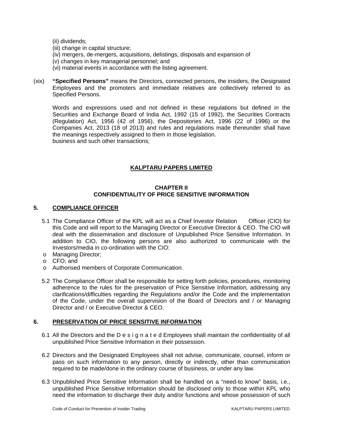(ii) dividends;

- (iii) change in capital structure;
- (iv) mergers, de-mergers, acquisitions, delistings, disposals and expansion of
- (v) changes in key managerial personnel; and
- (vi) material events in accordance with the listing agreement.
- (xix) **"Specified Persons"** means the Directors, connected persons, the insiders, the Designated Employees and the promoters and immediate relatives are collectively referred to as Specified Persons.

Words and expressions used and not defined in these regulations but defined in the Securities and Exchange Board of India Act, 1992 (15 of 1992), the Securities Contracts (Regulation) Act, 1956 (42 of 1956), the Depositories Act, 1996 (22 of 1996) or the Companies Act, 2013 (18 of 2013) and rules and regulations made thereunder shall have the meanings respectively assigned to them in those legislation. business and such other transactions;

## **KALPTARU PAPERS LIMITED**

## **CHAPTER II CONFIDENTIALITY OF PRICE SENSITIVE INFORMATION**

## **5. COMPLIANCE OFFICER**

- 5.1 The Compliance Officer of the KPL will act as a Chief Investor Relation Officer (CIO) for this Code and will report to the Managing Director or Executive Director & CEO. The CIO will deal with the dissemination and disclosure of Unpublished Price Sensitive Information. In addition to CIO, the following persons are also authorized to communicate with the Investors/media in co-ordination with the CIO:
- o Managing Director;
- o CFO; and
- o Authorised members of Corporate Communication.
- 5.2 The Compliance Officer shall be responsible for setting forth policies, procedures, monitoring adherence to the rules for the preservation of Price Sensitive Information, addressing any clarifications/difficulties regarding the Regulations and/or the Code and the implementation of the Code, under the overall supervision of the Board of Directors and / or Managing Director and / or Executive Director & CEO.

## **6. PRESERVATION OF PRICE SENSITIVE INFORMATION**

- 6.1 All the Directors and the D e s i g n a t e d Employees shall maintain the confidentiality of all unpublished Price Sensitive Information in their possession.
- 6.2 Directors and the Designated Employees shall not advise, communicate, counsel, inform or pass on such information to any person, directly or indirectly, other than communication required to be made/done in the ordinary course of business, or under any law.
- 6.3 Unpublished Price Sensitive Information shall be handled on a "need-to know" basis, i.e., unpublished Price Sensitive Information should be disclosed only to those within KPL who need the information to discharge their duty and/or functions and whose possession of such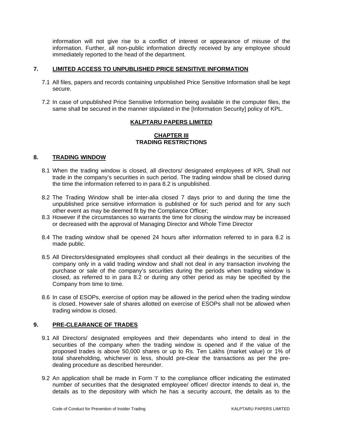information will not give rise to a conflict of interest or appearance of misuse of the information. Further, all non-public information directly received by any employee should immediately reported to the head of the department.

## **7. LIMITED ACCESS TO UNPUBLISHED PRICE SENSITIVE INFORMATION**

- 7.1 All files, papers and records containing unpublished Price Sensitive Information shall be kept secure.
- 7.2 In case of unpublished Price Sensitive Information being available in the computer files, the same shall be secured in the manner stipulated in the [Information Security] policy of KPL.

## **KALPTARU PAPERS LIMITED**

## **CHAPTER III TRADING RESTRICTIONS**

#### **8. TRADING WINDOW**

- 8.1 When the trading window is closed, all directors/ designated employees of KPL Shall not trade in the company's securities in such period. The trading window shall be closed during the time the information referred to in para 8.2 is unpublished.
- 8.2 The Trading Window shall be inter-alia closed 7 days prior to and during the time the unpublished price sensitive information is published or for such period and for any such other event as may be deemed fit by the Compliance Officer;
- 8.3 However if the circumstances so warrants the time for closing the window may be increased or decreased with the approval of Managing Director and Whole Time Director
- 8.4 The trading window shall be opened 24 hours after information referred to in para 8.2 is made public.
- 8.5 All Directors/designated employees shall conduct all their dealings in the securities of the company only in a valid trading window and shall not deal in any transaction involving the purchase or sale of the company's securities during the periods when trading window is closed, as referred to in para 8.2 or during any other period as may be specified by the Company from time to time.
- 8.6 In case of ESOPs, exercise of option may be allowed in the period when the trading window is closed. However sale of shares allotted on exercise of ESOPs shall not be allowed when trading window is closed.

## **9. PRE-CLEARANCE OF TRADES**

- 9.1 All Directors/ designated employees and their dependants who intend to deal in the securities of the company when the trading window is opened and if the value of the proposed trades is above 50,000 shares or up to Rs. Ten Lakhs (market value) or 1% of total shareholding, whichever is less, should pre-clear the transactions as per the predealing procedure as described hereunder.
- 9.2 An application shall be made in Form 'I' to the compliance officer indicating the estimated number of securities that the designated employee/ officer/ director intends to deal in, the details as to the depository with which he has a security account, the details as to the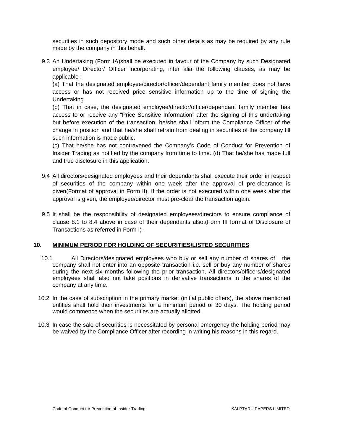securities in such depository mode and such other details as may be required by any rule made by the company in this behalf.

9.3 An Undertaking (Form IA)shall be executed in favour of the Company by such Designated employee/ Director/ Officer incorporating, inter alia the following clauses, as may be applicable :

(a) That the designated employee/director/officer/dependant family member does not have access or has not received price sensitive information up to the time of signing the Undertaking.

(b) That in case, the designated employee/director/officer/dependant family member has access to or receive any "Price Sensitive Information" after the signing of this undertaking but before execution of the transaction, he/she shall inform the Compliance Officer of the change in position and that he/she shall refrain from dealing in securities of the company till such information is made public.

(c) That he/she has not contravened the Company's Code of Conduct for Prevention of Insider Trading as notified by the company from time to time. (d) That he/she has made full and true disclosure in this application.

- 9.4 All directors/designated employees and their dependants shall execute their order in respect of securities of the company within one week after the approval of pre-clearance is given(Format of approval in Form II). If the order is not executed within one week after the approval is given, the employee/director must pre-clear the transaction again.
- 9.5 It shall be the responsibility of designated employees/directors to ensure compliance of clause 8.1 to 8.4 above in case of their dependants also.(Form III format of Disclosure of Transactions as referred in Form I) .

#### **10. MINIMUM PERIOD FOR HOLDING OF SECURITIES/LISTED SECURITIES**

- 10.1 All Directors/designated employees who buy or sell any number of shares of the company shall not enter into an opposite transaction i.e. sell or buy any number of shares during the next six months following the prior transaction. All directors/officers/designated employees shall also not take positions in derivative transactions in the shares of the company at any time.
- 10.2 In the case of subscription in the primary market (initial public offers), the above mentioned entities shall hold their investments for a minimum period of 30 days. The holding period would commence when the securities are actually allotted.
- 10.3 In case the sale of securities is necessitated by personal emergency the holding period may be waived by the Compliance Officer after recording in writing his reasons in this regard.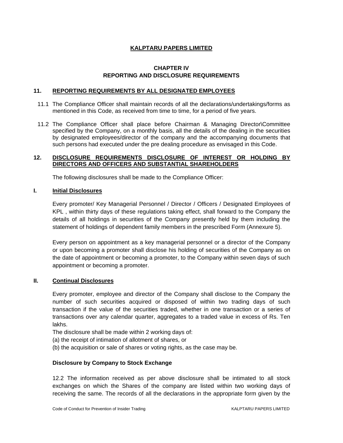## **CHAPTER IV REPORTING AND DISCLOSURE REQUIREMENTS**

#### **11. REPORTING REQUIREMENTS BY ALL DESIGNATED EMPLOYEES**

- 11.1 The Compliance Officer shall maintain records of all the declarations/undertakings/forms as mentioned in this Code, as received from time to time, for a period of five years.
- 11.2 The Compliance Officer shall place before Chairman & Managing Director\Committee specified by the Company, on a monthly basis, all the details of the dealing in the securities by designated employees/director of the company and the accompanying documents that such persons had executed under the pre dealing procedure as envisaged in this Code.

#### **12. DISCLOSURE REQUIREMENTS DISCLOSURE OF INTEREST OR HOLDING BY DIRECTORS AND OFFICERS AND SUBSTANTIAL SHAREHOLDERS**

The following disclosures shall be made to the Compliance Officer:

## **I. Initial Disclosures**

Every promoter/ Key Managerial Personnel / Director / Officers / Designated Employees of KPL , within thirty days of these regulations taking effect, shall forward to the Company the details of all holdings in securities of the Company presently held by them including the statement of holdings of dependent family members in the prescribed Form (Annexure 5).

Every person on appointment as a key managerial personnel or a director of the Company or upon becoming a promoter shall disclose his holding of securities of the Company as on the date of appointment or becoming a promoter, to the Company within seven days of such appointment or becoming a promoter.

## **II. Continual Disclosures**

Every promoter, employee and director of the Company shall disclose to the Company the number of such securities acquired or disposed of within two trading days of such transaction if the value of the securities traded, whether in one transaction or a series of transactions over any calendar quarter, aggregates to a traded value in excess of Rs. Ten lakhs.

The disclosure shall be made within 2 working days of:

- (a) the receipt of intimation of allotment of shares, or
- (b) the acquisition or sale of shares or voting rights, as the case may be.

#### **Disclosure by Company to Stock Exchange**

12.2 The information received as per above disclosure shall be intimated to all stock exchanges on which the Shares of the company are listed within two working days of receiving the same. The records of all the declarations in the appropriate form given by the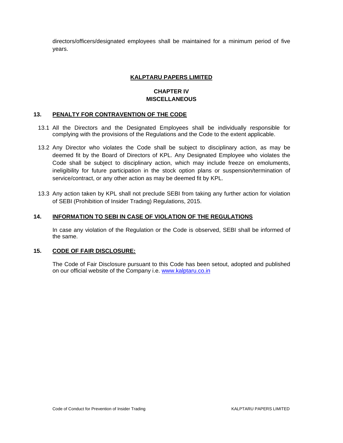directors/officers/designated employees shall be maintained for a minimum period of five years.

## **KALPTARU PAPERS LIMITED**

## **CHAPTER IV MISCELLANEOUS**

## **13. PENALTY FOR CONTRAVENTION OF THE CODE**

- 13.1 All the Directors and the Designated Employees shall be individually responsible for complying with the provisions of the Regulations and the Code to the extent applicable.
- 13.2 Any Director who violates the Code shall be subject to disciplinary action, as may be deemed fit by the Board of Directors of KPL. Any Designated Employee who violates the Code shall be subject to disciplinary action, which may include freeze on emoluments, ineligibility for future participation in the stock option plans or suspension/termination of service/contract, or any other action as may be deemed fit by KPL.
- 13.3 Any action taken by KPL shall not preclude SEBI from taking any further action for violation of SEBI (Prohibition of Insider Trading) Regulations, 2015.

## **14. INFORMATION TO SEBI IN CASE OF VIOLATION OF THE REGULATIONS**

In case any violation of the Regulation or the Code is observed, SEBI shall be informed of the same.

## **15. CODE OF FAIR DISCLOSURE:**

The Code of Fair Disclosure pursuant to this Code has been setout, adopted and published on our official website of the Company i.e. www.kalptaru.co.in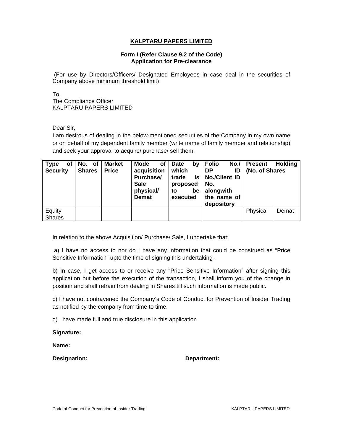#### **Form I (Refer Clause 9.2 of the Code) Application for Pre-clearance**

 (For use by Directors/Officers/ Designated Employees in case deal in the securities of Company above minimum threshold limit)

To, The Compliance Officer KALPTARU PAPERS LIMITED

Dear Sir,

I am desirous of dealing in the below-mentioned securities of the Company in my own name or on behalf of my dependent family member (write name of family member and relationship) and seek your approval to acquire/ purchase/ sell them.

| Type<br>of<br><b>Security</b> | No. of<br><b>Shares</b> | <b>Market</b><br><b>Price</b> | <b>Mode</b><br>οf<br>acquisition<br>Purchase/<br><b>Sale</b><br>physical/<br><b>Demat</b> | <b>Date</b><br>b٧<br>which<br>is<br>trade<br>proposed<br>be<br>to<br>executed | <b>Folio</b><br>No. /  <br><b>DP</b><br>ID<br><b>No./Client ID</b><br>No.<br>alongwith<br>the name of<br>depository | <b>Present</b><br>(No. of Shares | <b>Holding</b> |
|-------------------------------|-------------------------|-------------------------------|-------------------------------------------------------------------------------------------|-------------------------------------------------------------------------------|---------------------------------------------------------------------------------------------------------------------|----------------------------------|----------------|
| Equity<br><b>Shares</b>       |                         |                               |                                                                                           |                                                                               |                                                                                                                     | Physical                         | Demat          |

In relation to the above Acquisition/ Purchase/ Sale, I undertake that:

 a) I have no access to nor do I have any information that could be construed as "Price Sensitive Information" upto the time of signing this undertaking .

b) In case, I get access to or receive any "Price Sensitive Information" after signing this application but before the execution of the transaction, I shall inform you of the change in position and shall refrain from dealing in Shares till such information is made public.

c) I have not contravened the Company's Code of Conduct for Prevention of Insider Trading as notified by the company from time to time.

d) I have made full and true disclosure in this application.

**Signature:** 

**Name:** 

**Designation: Department:**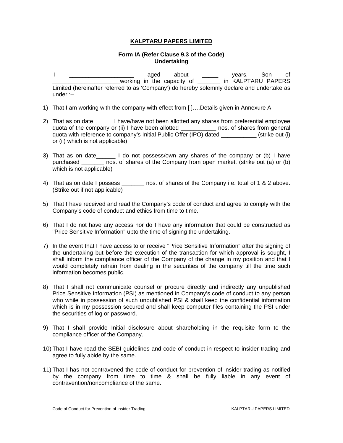## **Form IA (Refer Clause 9.3 of the Code) Undertaking**

- I \_\_\_\_\_\_\_\_\_\_\_\_\_\_\_\_\_\_\_\_ aged about \_\_\_\_\_ years, Son of \_\_\_\_\_\_\_\_\_\_\_\_\_\_\_\_\_\_\_\_\_working in the capacity of \_\_\_\_\_\_\_ in KALPTARU PAPERS Limited (hereinafter referred to as 'Company') do hereby solemnly declare and undertake as under :–
- 1) That I am working with the company with effect from [ ]….Details given in Annexure A
- 2) That as on date\_\_\_\_\_\_ I have/have not been allotted any shares from preferential employee quota of the company or (ii) I have been allotted \_\_\_\_\_\_\_\_\_\_\_ nos. of shares from general quota with reference to company's Initial Public Offer (IPO) dated (strike out (i) or (ii) which is not applicable)
- 3) That as on date 10 I do not possess/own any shares of the company or (b) I have purchased \_\_\_\_\_\_\_ nos. of shares of the Company from open market. (strike out (a) or (b) which is not applicable)
- 4) That as on date I possess \_\_\_\_\_\_\_ nos. of shares of the Company i.e. total of 1 & 2 above. (Strike out if not applicable)
- 5) That I have received and read the Company's code of conduct and agree to comply with the Company's code of conduct and ethics from time to time.
- 6) That I do not have any access nor do I have any information that could be constructed as "Price Sensitive Information" upto the time of signing the undertaking.
- 7) In the event that I have access to or receive "Price Sensitive Information" after the signing of the undertaking but before the execution of the transaction for which approval is sought, I shall inform the compliance officer of the Company of the change in my position and that I would completely refrain from dealing in the securities of the company till the time such information becomes public.
- 8) That I shall not communicate counsel or procure directly and indirectly any unpublished Price Sensitive Information (PSI) as mentioned in Company's code of conduct to any person who while in possession of such unpublished PSI & shall keep the confidential information which is in my possession secured and shall keep computer files containing the PSI under the securities of log or password.
- 9) That I shall provide Initial disclosure about shareholding in the requisite form to the compliance officer of the Company.
- 10) That I have read the SEBI guidelines and code of conduct in respect to insider trading and agree to fully abide by the same.
- 11) That I has not contravened the code of conduct for prevention of insider trading as notified by the company from time to time & shall be fully liable in any event of contravention/noncompliance of the same.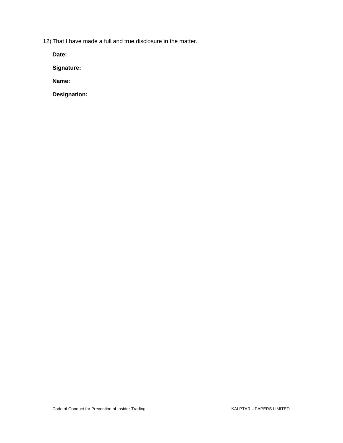12) That I have made a full and true disclosure in the matter.

**Date:** 

**Signature:** 

**Name:** 

**Designation:**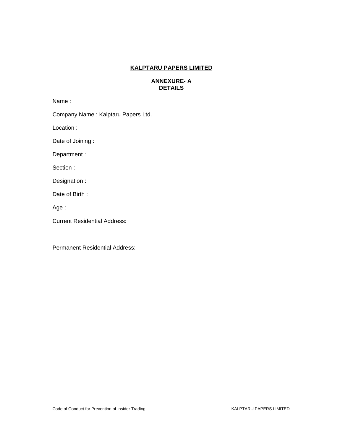## **ANNEXURE- A DETAILS**

Name :

Company Name : Kalptaru Papers Ltd.

Location :

Date of Joining :

Department :

Section :

Designation :

Date of Birth :

Age :

Current Residential Address:

Permanent Residential Address: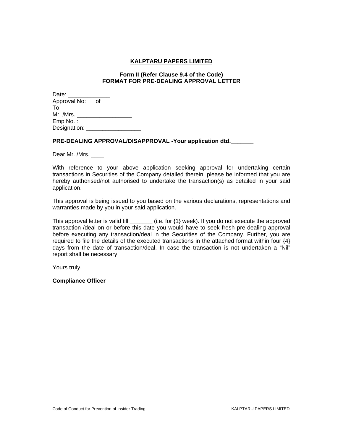#### **Form II (Refer Clause 9.4 of the Code) FORMAT FOR PRE-DEALING APPROVAL LETTER**

| Date: ______                      |  |
|-----------------------------------|--|
| Approval No: <u>c</u> of <u>c</u> |  |
| To,                               |  |
| Mr. /Mrs.                         |  |
| Emp No. :                         |  |
| Designation:                      |  |

## **PRE-DEALING APPROVAL/DISAPPROVAL -Your application dtd.\_\_\_\_\_\_\_**

Dear Mr. /Mrs. \_\_\_\_

With reference to your above application seeking approval for undertaking certain transactions in Securities of the Company detailed therein, please be informed that you are hereby authorised/not authorised to undertake the transaction(s) as detailed in your said application.

This approval is being issued to you based on the various declarations, representations and warranties made by you in your said application.

This approval letter is valid till \_\_\_\_\_\_\_\_ (i.e. for {1} week). If you do not execute the approved transaction /deal on or before this date you would have to seek fresh pre-dealing approval before executing any transaction/deal in the Securities of the Company. Further, you are required to file the details of the executed transactions in the attached format within four {4} days from the date of transaction/deal. In case the transaction is not undertaken a "Nil" report shall be necessary.

Yours truly,

**Compliance Officer**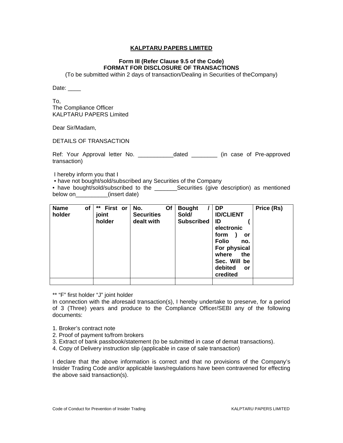## **Form III (Refer Clause 9.5 of the Code) FORMAT FOR DISCLOSURE OF TRANSACTIONS**

(To be submitted within 2 days of transaction/Dealing in Securities of theCompany)

Date: \_\_\_\_\_

To, The Compliance Officer KALPTARU PAPERS Limited

Dear Sir/Madam,

DETAILS OF TRANSACTION

Ref: Your Approval letter No. \_\_\_\_\_\_\_\_\_\_\_\_\_dated \_\_\_\_\_\_\_\_\_ (in case of Pre-approved transaction)

I hereby inform you that I

• have not bought/sold/subscribed any Securities of the Company

• have bought/sold/subscribed to the \_\_\_\_\_\_\_\_Securities (give description) as mentioned below on\_\_\_\_\_\_\_\_\_\_(insert date)

| <b>Name</b><br>оf<br>holder | ** First or<br>joint<br>holder | No.<br><b>Securities</b><br>dealt with | Οf | <b>Bought</b><br>Sold/<br><b>Subscribed</b> | DP<br><b>ID/CLIENT</b><br>ID<br>electronic<br>form<br>or<br><b>Folio</b><br>no.<br>For physical<br>where<br>the<br>Sec. Will be<br>debited<br>or<br>credited | Price (Rs) |
|-----------------------------|--------------------------------|----------------------------------------|----|---------------------------------------------|--------------------------------------------------------------------------------------------------------------------------------------------------------------|------------|
|                             |                                |                                        |    |                                             |                                                                                                                                                              |            |

\*\* "F" first holder "J" joint holder

In connection with the aforesaid transaction(s), I hereby undertake to preserve, for a period of 3 (Three) years and produce to the Compliance Officer/SEBI any of the following documents:

- 1. Broker's contract note
- 2. Proof of payment to/from brokers
- 3. Extract of bank passbook/statement (to be submitted in case of demat transactions).
- 4. Copy of Delivery instruction slip (applicable in case of sale transaction)

I declare that the above information is correct and that no provisions of the Company's Insider Trading Code and/or applicable laws/regulations have been contravened for effecting the above said transaction(s).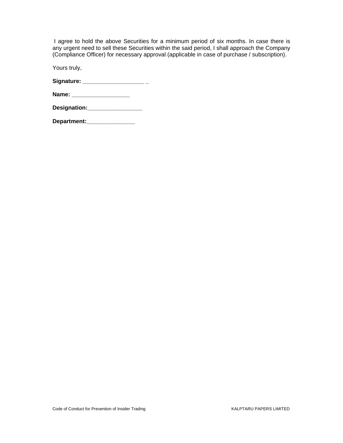I agree to hold the above Securities for a minimum period of six months. In case there is any urgent need to sell these Securities within the said period, I shall approach the Company (Compliance Officer) for necessary approval (applicable in case of purchase / subscription).

Yours truly,

**Signature: \_\_\_\_\_\_\_\_\_\_\_\_\_\_\_\_\_\_\_ \_** 

**Department:\_\_\_\_\_\_\_\_\_\_\_\_\_\_\_**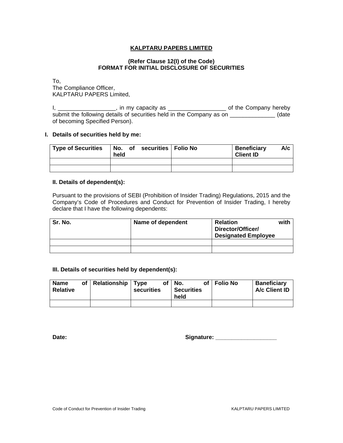#### **(Refer Clause 12(I) of the Code) FORMAT FOR INITIAL DISCLOSURE OF SECURITIES**

To, The Compliance Officer, KALPTARU PAPERS Limited,

I, \_\_\_\_\_\_\_\_\_\_\_\_\_\_\_\_\_\_\_, in my capacity as \_\_\_\_\_\_\_\_\_\_\_\_\_\_\_\_\_\_\_\_\_\_\_\_\_\_ of the Company hereby submit the following details of securities held in the Company as on \_\_\_\_\_\_\_\_\_\_\_\_\_\_\_\_(date of becoming Specified Person).

#### **I. Details of securities held by me:**

| <b>Type of Securities</b> | held | No. of securities Folio No | <b>Beneficiary</b><br><b>Client ID</b> | A/c |
|---------------------------|------|----------------------------|----------------------------------------|-----|
|                           |      |                            |                                        |     |
|                           |      |                            |                                        |     |

## **II. Details of dependent(s):**

Pursuant to the provisions of SEBI (Prohibition of Insider Trading) Regulations, 2015 and the Company's Code of Procedures and Conduct for Prevention of Insider Trading, I hereby declare that I have the following dependents:

| Sr. No. | Name of dependent | <b>Relation</b><br>Director/Officer/<br><b>Designated Employee</b> | with |
|---------|-------------------|--------------------------------------------------------------------|------|
|         |                   |                                                                    |      |
|         |                   |                                                                    |      |

#### **III. Details of securities held by dependent(s):**

| <b>Name</b><br><b>Relative</b> | of   Relationship   Type | securities | of   No.<br><b>Securities</b><br>held | of | <b>Folio No</b> | <b>Baneficiary</b><br>A/c Client ID |
|--------------------------------|--------------------------|------------|---------------------------------------|----|-----------------|-------------------------------------|
|                                |                          |            |                                       |    |                 |                                     |

**Date: Signature: \_\_\_\_\_\_\_\_\_\_\_\_\_\_\_\_\_\_\_**